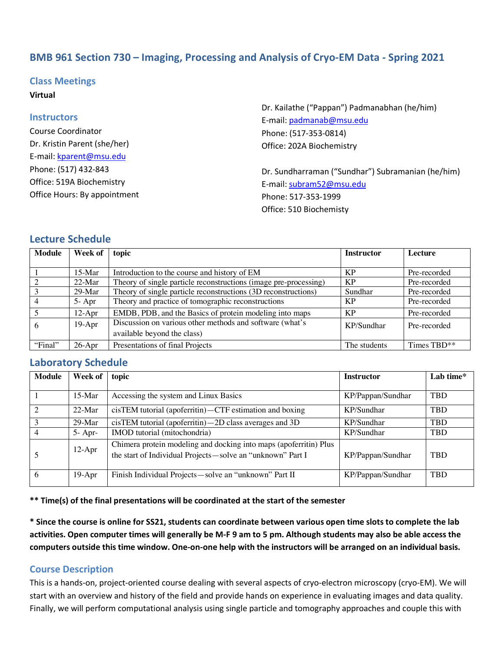# **BMB 961 Section 730 – Imaging, Processing and Analysis of Cryo-EM Data - Spring 2021**

## **Class Meetings**

#### **Virtual**

#### **Instructors**

Course Coordinator Dr. Kristin Parent (she/her) E-mail: kparent@msu.edu Phone: (517) 432-843 Office: 519A Biochemistry Office Hours: By appointment Dr. Kailathe ("Pappan") Padmanabhan (he/him) E-mail: padmanab@msu.edu Phone: (517-353-0814) Office: 202A Biochemistry

Dr. Sundharraman ("Sundhar") Subramanian (he/him) E-mail: subram52@msu.edu Phone: 517-353-1999 Office: 510 Biochemisty

## **Lecture Schedule**

| <b>Module</b> | Week of   | topic                                                            | <b>Instructor</b> | Lecture      |
|---------------|-----------|------------------------------------------------------------------|-------------------|--------------|
|               |           |                                                                  |                   |              |
|               | $15$ -Mar | Introduction to the course and history of EM                     | KP                | Pre-recorded |
|               | $22-Mar$  | Theory of single particle reconstructions (image pre-processing) | KP                | Pre-recorded |
|               | 29-Mar    | Theory of single particle reconstructions (3D reconstructions)   | Sundhar           | Pre-recorded |
|               | $5-$ Apr  | Theory and practice of tomographic reconstructions               | KP                | Pre-recorded |
|               | $12-Apr$  | EMDB, PDB, and the Basics of protein modeling into maps          | KP                | Pre-recorded |
| 6             | $19-Apr$  | Discussion on various other methods and software (what's         | KP/Sundhar        | Pre-recorded |
|               |           | available beyond the class)                                      |                   |              |
| "Final"       | $26$ -Apr | Presentations of final Projects                                  | The students      | Times TBD**  |

# **Laboratory Schedule**

| <b>Module</b>  | Week of   | topic                                                                                                                           | <b>Instructor</b> | Lab time*  |
|----------------|-----------|---------------------------------------------------------------------------------------------------------------------------------|-------------------|------------|
|                |           |                                                                                                                                 |                   |            |
|                | $15-Mar$  | Accessing the system and Linux Basics                                                                                           | KP/Pappan/Sundhar | <b>TBD</b> |
| $\overline{2}$ | $22-Mar$  | $cis$ TEM tutorial (apoferritin) - CTF estimation and boxing<br>KP/Sundhar                                                      |                   | <b>TBD</b> |
|                | $29$ -Mar | $cis$ TEM tutorial (apoferritin) $-2D$ class averages and 3D                                                                    | KP/Sundhar        | <b>TBD</b> |
| 4              | $5-$ Apr- | IMOD tutorial (mitochondria)                                                                                                    | KP/Sundhar        | <b>TBD</b> |
|                | $12-Apr$  | Chimera protein modeling and docking into maps (apoferritin) Plus<br>the start of Individual Projects-solve an "unknown" Part I | KP/Pappan/Sundhar | <b>TBD</b> |
| 6              | $19-Apr$  | Finish Individual Projects-solve an "unknown" Part II                                                                           | KP/Pappan/Sundhar | <b>TBD</b> |

**\*\* Time(s) of the final presentations will be coordinated at the start of the semester**

**\* Since the course is online for SS21, students can coordinate between various open time slots to complete the lab activities. Open computer times will generally be M-F 9 am to 5 pm. Although students may also be able access the computers outside this time window. One-on-one help with the instructors will be arranged on an individual basis.**

## **Course Description**

This is a hands-on, project-oriented course dealing with several aspects of cryo-electron microscopy (cryo-EM). We will start with an overview and history of the field and provide hands on experience in evaluating images and data quality. Finally, we will perform computational analysis using single particle and tomography approaches and couple this with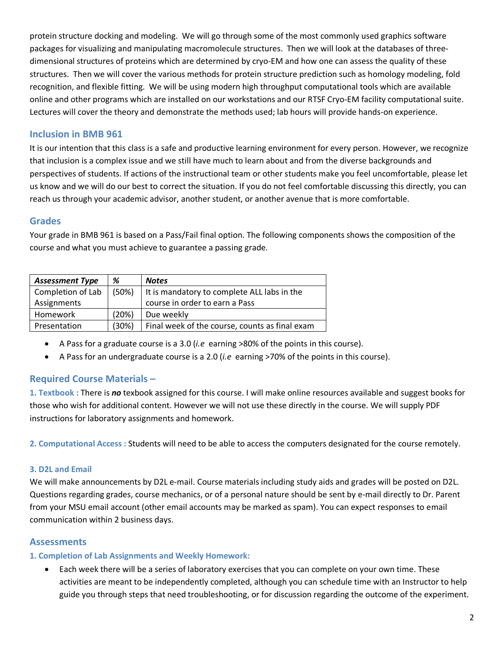protein structure docking and modeling. We will go through some of the most commonly used graphics software packages for visualizing and manipulating macromolecule structures. Then we will look at the databases of threedimensional structures of proteins which are determined by cryo-EM and how one can assess the quality of these structures. Then we will cover the various methods for protein structure prediction such as homology modeling, fold recognition, and flexible fitting. We will be using modern high throughput computational tools which are available online and other programs which are installed on our workstations and our RTSF Cryo-EM facility computational suite. Lectures will cover the theory and demonstrate the methods used; lab hours will provide hands-on experience.

# **Inclusion in BMB 961**

It is our intention that this class is a safe and productive learning environment for every person. However, we recognize that inclusion is a complex issue and we still have much to learn about and from the diverse backgrounds and perspectives of students. If actions of the instructional team or other students make you feel uncomfortable, please let us know and we will do our best to correct the situation. If you do not feel comfortable discussing this directly, you can reach us through your academic advisor, another student, or another avenue that is more comfortable.

# **Grades**

Your grade in BMB 961 is based on a Pass/Fail final option. The following components shows the composition of the course and what you must achieve to guarantee a passing grade.

| <b>Assessment Type</b> | %     | <b>Notes</b>                                   |  |
|------------------------|-------|------------------------------------------------|--|
| Completion of Lab      | (50%) | It is mandatory to complete ALL labs in the    |  |
| Assignments            |       | course in order to earn a Pass                 |  |
| Homework               | (20%) | Due weekly                                     |  |
| Presentation           | (30%) | Final week of the course, counts as final exam |  |

- A Pass for a graduate course is a 3.0 (*i.e* earning >80% of the points in this course).
- A Pass for an undergraduate course is a 2.0 (*i.e* earning >70% of the points in this course).

# **Required Course Materials –**

**1. Textbook :** There is *no* texbook assigned for this course. I will make online resources available and suggest books for those who wish for additional content. However we will not use these directly in the course. We will supply PDF instructions for laboratory assignments and homework.

**2. Computational Access :** Students will need to be able to access the computers designated for the course remotely.

# **3. D2L and Email**

We will make announcements by D2L e-mail. Course materials including study aids and grades will be posted on D2L. Questions regarding grades, course mechanics, or of a personal nature should be sent by e-mail directly to Dr. Parent from your MSU email account (other email accounts may be marked as spam). You can expect responses to email communication within 2 business days.

# **Assessments**

# **1. Completion of Lab Assignments and Weekly Homework:**

• Each week there will be a series of laboratory exercises that you can complete on your own time. These activities are meant to be independently completed, although you can schedule time with an Instructor to help guide you through steps that need troubleshooting, or for discussion regarding the outcome of the experiment.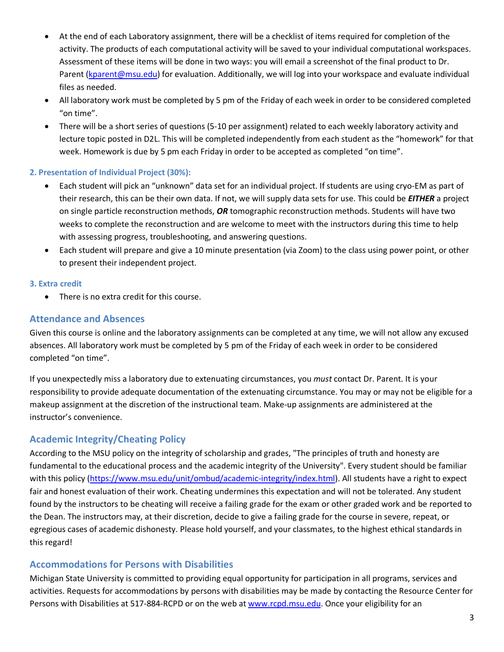- At the end of each Laboratory assignment, there will be a checklist of items required for completion of the activity. The products of each computational activity will be saved to your individual computational workspaces. Assessment of these items will be done in two ways: you will email a screenshot of the final product to Dr. Parent (kparent@msu.edu) for evaluation. Additionally, we will log into your workspace and evaluate individual files as needed.
- All laboratory work must be completed by 5 pm of the Friday of each week in order to be considered completed "on time".
- There will be a short series of questions (5-10 per assignment) related to each weekly laboratory activity and lecture topic posted in D2L. This will be completed independently from each student as the "homework" for that week. Homework is due by 5 pm each Friday in order to be accepted as completed "on time".

## **2. Presentation of Individual Project (30%):**

- Each student will pick an "unknown" data set for an individual project. If students are using cryo-EM as part of their research, this can be their own data. If not, we will supply data sets for use. This could be *EITHER* a project on single particle reconstruction methods, *OR* tomographic reconstruction methods. Students will have two weeks to complete the reconstruction and are welcome to meet with the instructors during this time to help with assessing progress, troubleshooting, and answering questions.
- Each student will prepare and give a 10 minute presentation (via Zoom) to the class using power point, or other to present their independent project.

## **3. Extra credit**

• There is no extra credit for this course.

## **Attendance and Absences**

Given this course is online and the laboratory assignments can be completed at any time, we will not allow any excused absences. All laboratory work must be completed by 5 pm of the Friday of each week in order to be considered completed "on time".

If you unexpectedly miss a laboratory due to extenuating circumstances, you *must* contact Dr. Parent. It is your responsibility to provide adequate documentation of the extenuating circumstance. You may or may not be eligible for a makeup assignment at the discretion of the instructional team. Make-up assignments are administered at the instructor's convenience.

# **Academic Integrity/Cheating Policy**

According to the MSU policy on the integrity of scholarship and grades, "The principles of truth and honesty are fundamental to the educational process and the academic integrity of the University". Every student should be familiar with this policy (https://www.msu.edu/unit/ombud/academic-integrity/index.html). All students have a right to expect fair and honest evaluation of their work. Cheating undermines this expectation and will not be tolerated. Any student found by the instructors to be cheating will receive a failing grade for the exam or other graded work and be reported to the Dean. The instructors may, at their discretion, decide to give a failing grade for the course in severe, repeat, or egregious cases of academic dishonesty. Please hold yourself, and your classmates, to the highest ethical standards in this regard!

# **Accommodations for Persons with Disabilities**

Michigan State University is committed to providing equal opportunity for participation in all programs, services and activities. Requests for accommodations by persons with disabilities may be made by contacting the Resource Center for Persons with Disabilities at 517-884-RCPD or on the web at www.rcpd.msu.edu. Once your eligibility for an